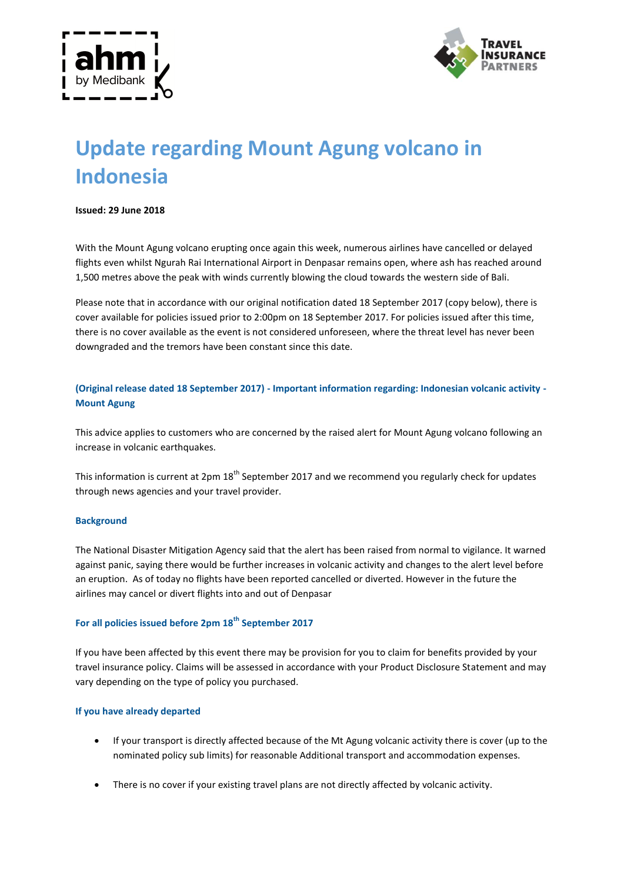



# **Update regarding Mount Agung volcano in Indonesia**

#### **Issued: 29 June 2018**

With the Mount Agung volcano erupting once again this week, numerous airlines have cancelled or delayed flights even whilst Ngurah Rai International Airport in Denpasar remains open, where ash has reached around 1,500 metres above the peak with winds currently blowing the cloud towards the western side of Bali.

Please note that in accordance with our original notification dated 18 September 2017 (copy below), there is cover available for policies issued prior to 2:00pm on 18 September 2017. For policies issued after this time, there is no cover available as the event is not considered unforeseen, where the threat level has never been downgraded and the tremors have been constant since this date.

**(Original release dated 18 September 2017) - Important information regarding: Indonesian volcanic activity - Mount Agung**

This advice applies to customers who are concerned by the raised alert for Mount Agung volcano following an increase in volcanic earthquakes.

This information is current at 2pm 18<sup>th</sup> September 2017 and we recommend you regularly check for updates through news agencies and your travel provider.

#### **Background**

The National Disaster Mitigation Agency said that the alert has been raised from normal to vigilance. It warned against panic, saying there would be further increases in volcanic activity and changes to the alert level before an eruption. As of today no flights have been reported cancelled or diverted. However in the future the airlines may cancel or divert flights into and out of Denpasar

## **For all policies issued before 2pm 18th September 2017**

If you have been affected by this event there may be provision for you to claim for benefits provided by your travel insurance policy. Claims will be assessed in accordance with your Product Disclosure Statement and may vary depending on the type of policy you purchased.

#### **If you have already departed**

- If your transport is directly affected because of the Mt Agung volcanic activity there is cover (up to the nominated policy sub limits) for reasonable Additional transport and accommodation expenses.
- There is no cover if your existing travel plans are not directly affected by volcanic activity.